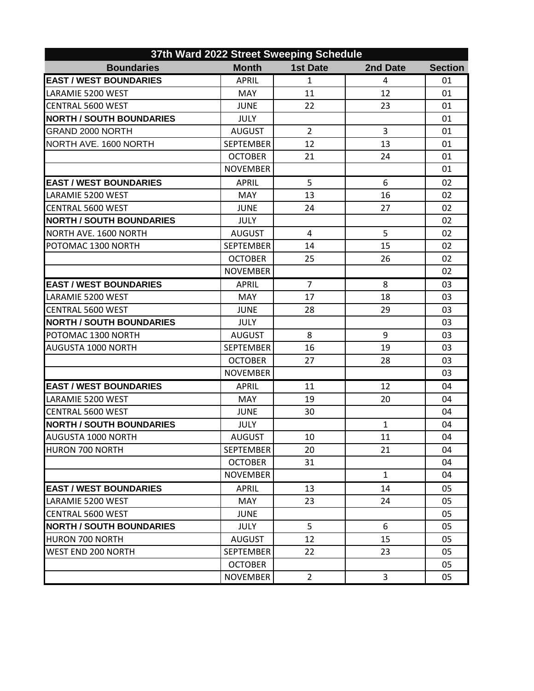| 37th Ward 2022 Street Sweeping Schedule |                  |                 |              |                |  |  |  |
|-----------------------------------------|------------------|-----------------|--------------|----------------|--|--|--|
| <b>Boundaries</b>                       | <b>Month</b>     | <b>1st Date</b> | 2nd Date     | <b>Section</b> |  |  |  |
| <b>EAST / WEST BOUNDARIES</b>           | <b>APRIL</b>     | 1               | 4            | 01             |  |  |  |
| LARAMIE 5200 WEST                       | <b>MAY</b>       | 11              | 12           | 01             |  |  |  |
| <b>CENTRAL 5600 WEST</b>                | <b>JUNE</b>      | 22              | 23           | 01             |  |  |  |
| <b>NORTH / SOUTH BOUNDARIES</b>         | <b>JULY</b>      |                 |              | 01             |  |  |  |
| <b>GRAND 2000 NORTH</b>                 | <b>AUGUST</b>    | $\overline{2}$  | 3            | 01             |  |  |  |
| NORTH AVE. 1600 NORTH                   | <b>SEPTEMBER</b> | 12              | 13           | 01             |  |  |  |
|                                         | <b>OCTOBER</b>   | 21              | 24           | 01             |  |  |  |
|                                         | <b>NOVEMBER</b>  |                 |              | 01             |  |  |  |
| <b>EAST / WEST BOUNDARIES</b>           | <b>APRIL</b>     | 5               | 6            | 02             |  |  |  |
| LARAMIE 5200 WEST                       | <b>MAY</b>       | 13              | 16           | 02             |  |  |  |
| <b>CENTRAL 5600 WEST</b>                | <b>JUNE</b>      | 24              | 27           | 02             |  |  |  |
| <b>NORTH / SOUTH BOUNDARIES</b>         | <b>JULY</b>      |                 |              | 02             |  |  |  |
| NORTH AVE. 1600 NORTH                   | <b>AUGUST</b>    | 4               | 5            | 02             |  |  |  |
| POTOMAC 1300 NORTH                      | <b>SEPTEMBER</b> | 14              | 15           | 02             |  |  |  |
|                                         | <b>OCTOBER</b>   | 25              | 26           | 02             |  |  |  |
|                                         | <b>NOVEMBER</b>  |                 |              | 02             |  |  |  |
| <b>EAST / WEST BOUNDARIES</b>           | <b>APRIL</b>     | $\overline{7}$  | 8            | 03             |  |  |  |
| LARAMIE 5200 WEST                       | <b>MAY</b>       | 17              | 18           | 03             |  |  |  |
| <b>CENTRAL 5600 WEST</b>                | <b>JUNE</b>      | 28              | 29           | 03             |  |  |  |
| <b>NORTH / SOUTH BOUNDARIES</b>         | <b>JULY</b>      |                 |              | 03             |  |  |  |
| POTOMAC 1300 NORTH                      | <b>AUGUST</b>    | 8               | 9            | 03             |  |  |  |
| AUGUSTA 1000 NORTH                      | <b>SEPTEMBER</b> | 16              | 19           | 03             |  |  |  |
|                                         | <b>OCTOBER</b>   | 27              | 28           | 03             |  |  |  |
|                                         | <b>NOVEMBER</b>  |                 |              | 03             |  |  |  |
| <b>EAST / WEST BOUNDARIES</b>           | <b>APRIL</b>     | 11              | 12           | 04             |  |  |  |
| LARAMIE 5200 WEST                       | <b>MAY</b>       | 19              | 20           | 04             |  |  |  |
| <b>CENTRAL 5600 WEST</b>                | <b>JUNE</b>      | 30              |              | 04             |  |  |  |
| <b>NORTH / SOUTH BOUNDARIES</b>         | <b>JULY</b>      |                 | $\mathbf{1}$ | 04             |  |  |  |
| AUGUSTA 1000 NORTH                      | <b>AUGUST</b>    | 10              | 11           | 04             |  |  |  |
| <b>HURON 700 NORTH</b>                  | <b>SEPTEMBER</b> | 20              | 21           | 04             |  |  |  |
|                                         | <b>OCTOBER</b>   | 31              |              | 04             |  |  |  |
|                                         | <b>NOVEMBER</b>  |                 | $\mathbf{1}$ | 04             |  |  |  |
| <b>EAST / WEST BOUNDARIES</b>           | <b>APRIL</b>     | 13              | 14           | 05             |  |  |  |
| LARAMIE 5200 WEST                       | MAY              | 23              | 24           | 05             |  |  |  |
| <b>CENTRAL 5600 WEST</b>                | <b>JUNE</b>      |                 |              | 05             |  |  |  |
| <b>NORTH / SOUTH BOUNDARIES</b>         | <b>JULY</b>      | 5               | 6            | 05             |  |  |  |
| <b>HURON 700 NORTH</b>                  | <b>AUGUST</b>    | 12              | 15           | 05             |  |  |  |
| <b>WEST END 200 NORTH</b>               | <b>SEPTEMBER</b> | 22              | 23           | 05             |  |  |  |
|                                         | <b>OCTOBER</b>   |                 |              | 05             |  |  |  |
|                                         | <b>NOVEMBER</b>  | $\overline{2}$  | 3            | 05             |  |  |  |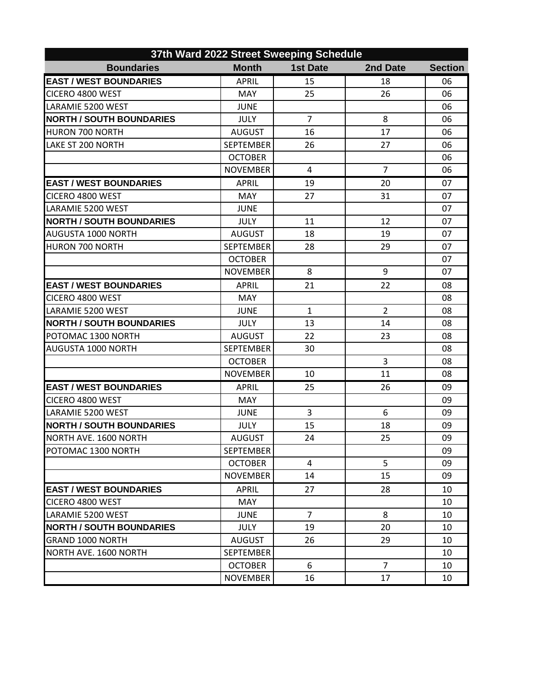| 37th Ward 2022 Street Sweeping Schedule |                  |                 |                |                |  |  |  |
|-----------------------------------------|------------------|-----------------|----------------|----------------|--|--|--|
| <b>Boundaries</b>                       | <b>Month</b>     | <b>1st Date</b> | 2nd Date       | <b>Section</b> |  |  |  |
| <b>EAST / WEST BOUNDARIES</b>           | <b>APRIL</b>     | 15              | 18             | 06             |  |  |  |
| CICERO 4800 WEST                        | <b>MAY</b>       | 25              | 26             | 06             |  |  |  |
| LARAMIE 5200 WEST                       | <b>JUNE</b>      |                 |                | 06             |  |  |  |
| <b>NORTH / SOUTH BOUNDARIES</b>         | <b>JULY</b>      | $\overline{7}$  | 8              | 06             |  |  |  |
| <b>HURON 700 NORTH</b>                  | <b>AUGUST</b>    | 16              | 17             | 06             |  |  |  |
| <b>LAKE ST 200 NORTH</b>                | <b>SEPTEMBER</b> | 26              | 27             | 06             |  |  |  |
|                                         | <b>OCTOBER</b>   |                 |                | 06             |  |  |  |
|                                         | <b>NOVEMBER</b>  | 4               | $\overline{7}$ | 06             |  |  |  |
| <b>EAST / WEST BOUNDARIES</b>           | <b>APRIL</b>     | 19              | 20             | 07             |  |  |  |
| CICERO 4800 WEST                        | <b>MAY</b>       | 27              | 31             | 07             |  |  |  |
| LARAMIE 5200 WEST                       | <b>JUNE</b>      |                 |                | 07             |  |  |  |
| <b>NORTH / SOUTH BOUNDARIES</b>         | <b>JULY</b>      | 11              | 12             | 07             |  |  |  |
| <b>AUGUSTA 1000 NORTH</b>               | <b>AUGUST</b>    | 18              | 19             | 07             |  |  |  |
| HURON 700 NORTH                         | <b>SEPTEMBER</b> | 28              | 29             | 07             |  |  |  |
|                                         | <b>OCTOBER</b>   |                 |                | 07             |  |  |  |
|                                         | <b>NOVEMBER</b>  | 8               | 9              | 07             |  |  |  |
| <b>EAST / WEST BOUNDARIES</b>           | <b>APRIL</b>     | 21              | 22             | 08             |  |  |  |
| CICERO 4800 WEST                        | <b>MAY</b>       |                 |                | 08             |  |  |  |
| LARAMIE 5200 WEST                       | <b>JUNE</b>      | $\mathbf{1}$    | $\overline{2}$ | 08             |  |  |  |
| <b>NORTH / SOUTH BOUNDARIES</b>         | <b>JULY</b>      | 13              | 14             | 08             |  |  |  |
| POTOMAC 1300 NORTH                      | <b>AUGUST</b>    | 22              | 23             | 08             |  |  |  |
| <b>AUGUSTA 1000 NORTH</b>               | <b>SEPTEMBER</b> | 30              |                | 08             |  |  |  |
|                                         | <b>OCTOBER</b>   |                 | 3              | 08             |  |  |  |
|                                         | <b>NOVEMBER</b>  | 10              | 11             | 08             |  |  |  |
| <b>EAST / WEST BOUNDARIES</b>           | <b>APRIL</b>     | 25              | 26             | 09             |  |  |  |
| CICERO 4800 WEST                        | MAY              |                 |                | 09             |  |  |  |
| LARAMIE 5200 WEST                       | <b>JUNE</b>      | 3               | 6              | 09             |  |  |  |
| <b>NORTH / SOUTH BOUNDARIES</b>         | <b>JULY</b>      | 15              | 18             | 09             |  |  |  |
| NORTH AVE, 1600 NORTH                   | <b>AUGUST</b>    | 24              | 25             | 09             |  |  |  |
| POTOMAC 1300 NORTH                      | <b>SEPTEMBER</b> |                 |                | 09             |  |  |  |
|                                         | <b>OCTOBER</b>   | 4               | 5              | 09             |  |  |  |
|                                         | <b>NOVEMBER</b>  | 14              | 15             | 09             |  |  |  |
| <b>EAST / WEST BOUNDARIES</b>           | <b>APRIL</b>     | 27              | 28             | 10             |  |  |  |
| CICERO 4800 WEST                        | <b>MAY</b>       |                 |                | 10             |  |  |  |
| LARAMIE 5200 WEST                       | <b>JUNE</b>      | $\overline{7}$  | 8              | 10             |  |  |  |
| <b>NORTH / SOUTH BOUNDARIES</b>         | <b>JULY</b>      | 19              | 20             | 10             |  |  |  |
| IGRAND 1000 NORTH                       | <b>AUGUST</b>    | 26              | 29             | 10             |  |  |  |
| NORTH AVE. 1600 NORTH                   | <b>SEPTEMBER</b> |                 |                | 10             |  |  |  |
|                                         | <b>OCTOBER</b>   | 6               | $\overline{7}$ | 10             |  |  |  |
|                                         | <b>NOVEMBER</b>  | 16              | 17             | 10             |  |  |  |